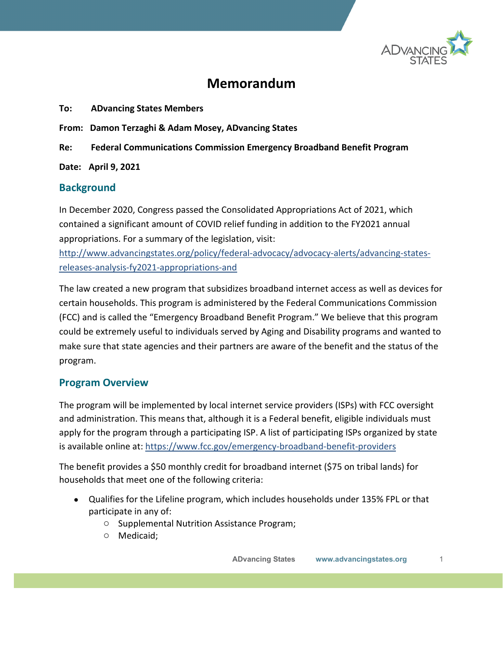

# **Memorandum**

- **To: ADvancing States Members**
- **From: Damon Terzaghi & Adam Mosey, ADvancing States**
- **Re: Federal Communications Commission Emergency Broadband Benefit Program**

**Date: April 9, 2021**

### **Background**

In December 2020, Congress passed the Consolidated Appropriations Act of 2021, which contained a significant amount of COVID relief funding in addition to the FY2021 annual appropriations. For a summary of the legislation, visit:

[http://www.advancingstates.org/policy/federal-advocacy/advocacy-alerts/advancing-states](http://www.advancingstates.org/policy/federal-advocacy/advocacy-alerts/advancing-states-releases-analysis-fy2021-appropriations-and)[releases-analysis-fy2021-appropriations-and](http://www.advancingstates.org/policy/federal-advocacy/advocacy-alerts/advancing-states-releases-analysis-fy2021-appropriations-and)

The law created a new program that subsidizes broadband internet access as well as devices for certain households. This program is administered by the Federal Communications Commission (FCC) and is called the "Emergency Broadband Benefit Program." We believe that this program could be extremely useful to individuals served by Aging and Disability programs and wanted to make sure that state agencies and their partners are aware of the benefit and the status of the program.

#### **Program Overview**

The program will be implemented by local internet service providers (ISPs) with FCC oversight and administration. This means that, although it is a Federal benefit, eligible individuals must apply for the program through a participating ISP. A list of participating ISPs organized by state is available online at:<https://www.fcc.gov/emergency-broadband-benefit-providers>

The benefit provides a \$50 monthly credit for broadband internet (\$75 on tribal lands) for households that meet one of the following criteria:

- Qualifies for the Lifeline program, which includes households under 135% FPL or that participate in any of:
	- o Supplemental Nutrition Assistance Program;
	- o Medicaid;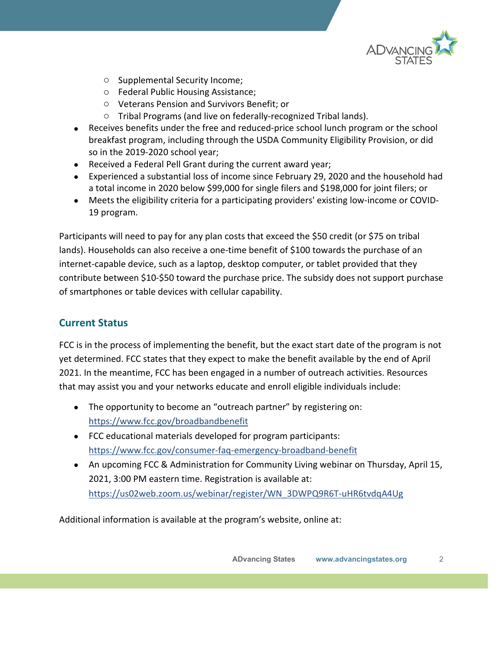

- o Supplemental Security Income;
- o Federal Public Housing Assistance;
- o Veterans Pension and Survivors Benefit; or
- o Tribal Programs (and live on federally-recognized Tribal lands).
- Receives benefits under the free and reduced-price school lunch program or the school breakfast program, including through the USDA Community Eligibility Provision, or did so in the 2019-2020 school year;
- Received a Federal Pell Grant during the current award year;
- Experienced a substantial loss of income since February 29, 2020 and the household had a total income in 2020 below \$99,000 for single filers and \$198,000 for joint filers; or
- Meets the eligibility criteria for a participating providers' existing low-income or COVID-19 program.

Participants will need to pay for any plan costs that exceed the \$50 credit (or \$75 on tribal lands). Households can also receive a one-time benefit of \$100 towards the purchase of an internet-capable device, such as a laptop, desktop computer, or tablet provided that they contribute between \$10-\$50 toward the purchase price. The subsidy does not support purchase of smartphones or table devices with cellular capability.

# **Current Status**

FCC is in the process of implementing the benefit, but the exact start date of the program is not yet determined. FCC states that they expect to make the benefit available by the end of April 2021. In the meantime, FCC has been engaged in a number of outreach activities. Resources that may assist you and your networks educate and enroll eligible individuals include:

- The opportunity to become an "outreach partner" by registering on: <https://www.fcc.gov/broadbandbenefit>
- FCC educational materials developed for program participants: <https://www.fcc.gov/consumer-faq-emergency-broadband-benefit>
- An upcoming FCC & Administration for Community Living webinar on Thursday, April 15, 2021, 3:00 PM eastern time. Registration is available at: [https://us02web.zoom.us/webinar/register/WN\\_3DWPQ9R6T-uHR6tvdqA4Ug](https://us02web.zoom.us/webinar/register/WN_3DWPQ9R6T-uHR6tvdqA4Ug)

Additional information is available at the program's website, online at: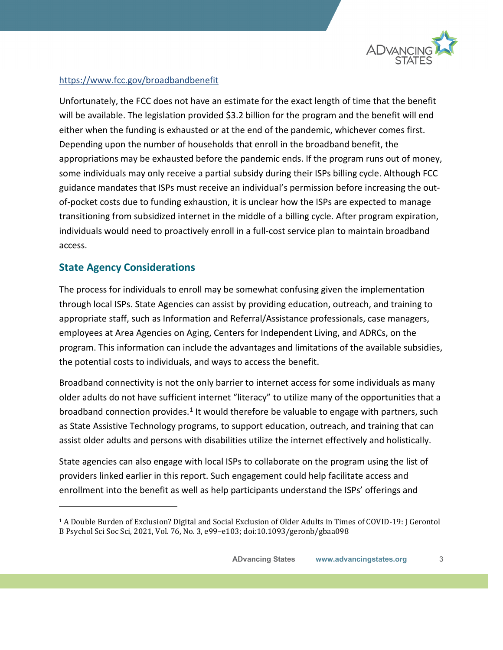

#### <https://www.fcc.gov/broadbandbenefit>

Unfortunately, the FCC does not have an estimate for the exact length of time that the benefit will be available. The legislation provided \$3.2 billion for the program and the benefit will end either when the funding is exhausted or at the end of the pandemic, whichever comes first. Depending upon the number of households that enroll in the broadband benefit, the appropriations may be exhausted before the pandemic ends. If the program runs out of money, some individuals may only receive a partial subsidy during their ISPs billing cycle. Although FCC guidance mandates that ISPs must receive an individual's permission before increasing the outof-pocket costs due to funding exhaustion, it is unclear how the ISPs are expected to manage transitioning from subsidized internet in the middle of a billing cycle. After program expiration, individuals would need to proactively enroll in a full-cost service plan to maintain broadband access.

# **State Agency Considerations**

The process for individuals to enroll may be somewhat confusing given the implementation through local ISPs. State Agencies can assist by providing education, outreach, and training to appropriate staff, such as Information and Referral/Assistance professionals, case managers, employees at Area Agencies on Aging, Centers for Independent Living, and ADRCs, on the program. This information can include the advantages and limitations of the available subsidies, the potential costs to individuals, and ways to access the benefit.

Broadband connectivity is not the only barrier to internet access for some individuals as many older adults do not have sufficient internet "literacy" to utilize many of the opportunities that a broadband connection provides.<sup>[1](#page-2-0)</sup> It would therefore be valuable to engage with partners, such as State Assistive Technology programs, to support education, outreach, and training that can assist older adults and persons with disabilities utilize the internet effectively and holistically.

State agencies can also engage with local ISPs to collaborate on the program using the list of providers linked earlier in this report. Such engagement could help facilitate access and enrollment into the benefit as well as help participants understand the ISPs' offerings and

<span id="page-2-0"></span><sup>1</sup> A Double Burden of Exclusion? Digital and Social Exclusion of Older Adults in Times of COVID-19: J Gerontol B Psychol Sci Soc Sci, 2021, Vol. 76, No. 3, e99–e103; doi:10.1093/geronb/gbaa098